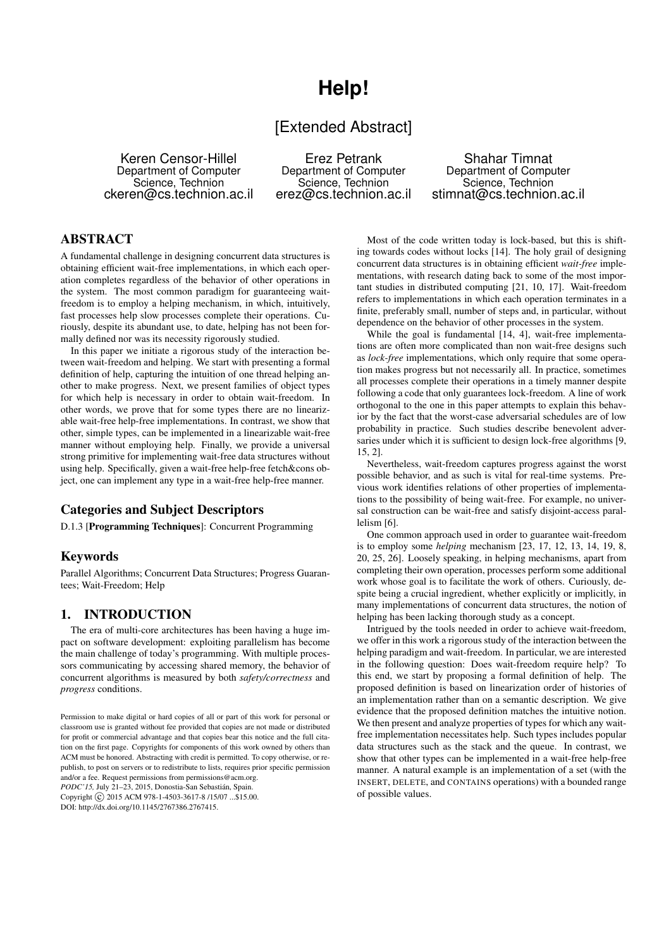# **Help!**

## [Extended Abstract]

Keren Censor-Hillel Department of Computer Science, Technion ckeren@cs.technion.ac.il

Erez Petrank Department of Computer Science, Technion erez@cs.technion.ac.il

Shahar Timnat Department of Computer Science, Technion stimnat@cs.technion.ac.il

### ABSTRACT

A fundamental challenge in designing concurrent data structures is obtaining efficient wait-free implementations, in which each operation completes regardless of the behavior of other operations in the system. The most common paradigm for guaranteeing waitfreedom is to employ a helping mechanism, in which, intuitively, fast processes help slow processes complete their operations. Curiously, despite its abundant use, to date, helping has not been formally defined nor was its necessity rigorously studied.

In this paper we initiate a rigorous study of the interaction between wait-freedom and helping. We start with presenting a formal definition of help, capturing the intuition of one thread helping another to make progress. Next, we present families of object types for which help is necessary in order to obtain wait-freedom. In other words, we prove that for some types there are no linearizable wait-free help-free implementations. In contrast, we show that other, simple types, can be implemented in a linearizable wait-free manner without employing help. Finally, we provide a universal strong primitive for implementing wait-free data structures without using help. Specifically, given a wait-free help-free fetch&cons object, one can implement any type in a wait-free help-free manner.

### Categories and Subject Descriptors

D.1.3 [Programming Techniques]: Concurrent Programming

#### Keywords

Parallel Algorithms; Concurrent Data Structures; Progress Guarantees; Wait-Freedom; Help

### 1. INTRODUCTION

The era of multi-core architectures has been having a huge impact on software development: exploiting parallelism has become the main challenge of today's programming. With multiple processors communicating by accessing shared memory, the behavior of concurrent algorithms is measured by both *safety/correctness* and *progress* conditions.

Most of the code written today is lock-based, but this is shifting towards codes without locks [14]. The holy grail of designing concurrent data structures is in obtaining efficient *wait-free* implementations, with research dating back to some of the most important studies in distributed computing [21, 10, 17]. Wait-freedom refers to implementations in which each operation terminates in a finite, preferably small, number of steps and, in particular, without dependence on the behavior of other processes in the system.

While the goal is fundamental [14, 4], wait-free implementations are often more complicated than non wait-free designs such as *lock-free* implementations, which only require that some operation makes progress but not necessarily all. In practice, sometimes all processes complete their operations in a timely manner despite following a code that only guarantees lock-freedom. A line of work orthogonal to the one in this paper attempts to explain this behavior by the fact that the worst-case adversarial schedules are of low probability in practice. Such studies describe benevolent adversaries under which it is sufficient to design lock-free algorithms [9, 15, 2].

Nevertheless, wait-freedom captures progress against the worst possible behavior, and as such is vital for real-time systems. Previous work identifies relations of other properties of implementations to the possibility of being wait-free. For example, no universal construction can be wait-free and satisfy disjoint-access parallelism [6].

One common approach used in order to guarantee wait-freedom is to employ some *helping* mechanism [23, 17, 12, 13, 14, 19, 8, 20, 25, 26]. Loosely speaking, in helping mechanisms, apart from completing their own operation, processes perform some additional work whose goal is to facilitate the work of others. Curiously, despite being a crucial ingredient, whether explicitly or implicitly, in many implementations of concurrent data structures, the notion of helping has been lacking thorough study as a concept.

Intrigued by the tools needed in order to achieve wait-freedom, we offer in this work a rigorous study of the interaction between the helping paradigm and wait-freedom. In particular, we are interested in the following question: Does wait-freedom require help? To this end, we start by proposing a formal definition of help. The proposed definition is based on linearization order of histories of an implementation rather than on a semantic description. We give evidence that the proposed definition matches the intuitive notion. We then present and analyze properties of types for which any waitfree implementation necessitates help. Such types includes popular data structures such as the stack and the queue. In contrast, we show that other types can be implemented in a wait-free help-free manner. A natural example is an implementation of a set (with the INSERT, DELETE, and CONTAINS operations) with a bounded range of possible values.

Permission to make digital or hard copies of all or part of this work for personal or classroom use is granted without fee provided that copies are not made or distributed for profit or commercial advantage and that copies bear this notice and the full citation on the first page. Copyrights for components of this work owned by others than ACM must be honored. Abstracting with credit is permitted. To copy otherwise, or republish, to post on servers or to redistribute to lists, requires prior specific permission and/or a fee. Request permissions from permissions@acm.org. *PODC'15,* July 21–23, 2015, Donostia-San Sebastián, Spain.

Copyright *⃝*c 2015 ACM 978-1-4503-3617-8 /15/07 ...\$15.00. DOI: http://dx.doi.org/10.1145/2767386.2767415.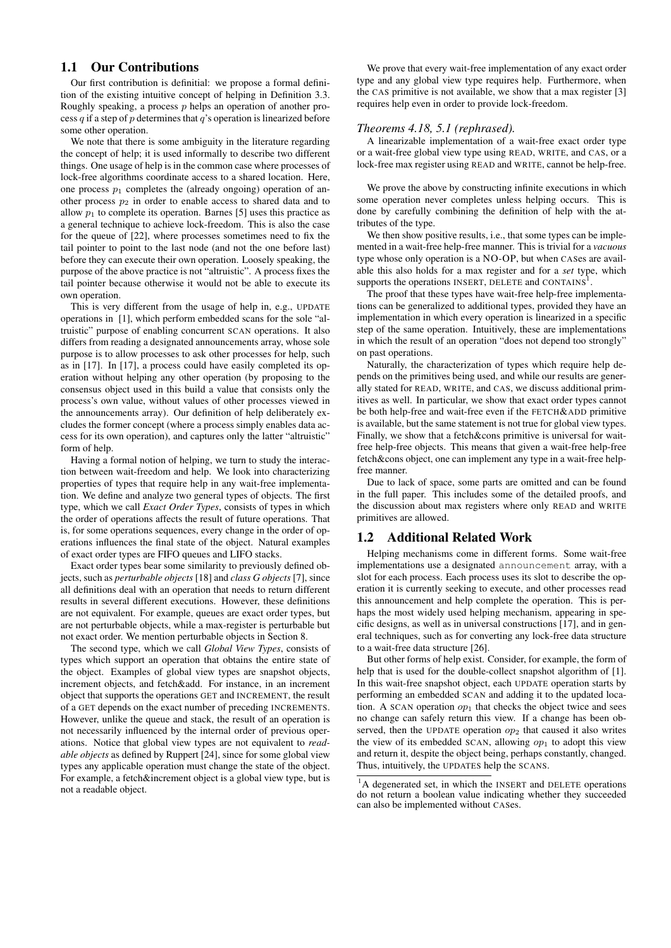### 1.1 Our Contributions

Our first contribution is definitial: we propose a formal definition of the existing intuitive concept of helping in Definition 3.3. Roughly speaking, a process *p* helps an operation of another process *q* if a step of *p* determines that *q*'s operation is linearized before some other operation.

We note that there is some ambiguity in the literature regarding the concept of help; it is used informally to describe two different things. One usage of help is in the common case where processes of lock-free algorithms coordinate access to a shared location. Here, one process  $p_1$  completes the (already ongoing) operation of another process  $p_2$  in order to enable access to shared data and to allow  $p_1$  to complete its operation. Barnes [5] uses this practice as a general technique to achieve lock-freedom. This is also the case for the queue of [22], where processes sometimes need to fix the tail pointer to point to the last node (and not the one before last) before they can execute their own operation. Loosely speaking, the purpose of the above practice is not "altruistic". A process fixes the tail pointer because otherwise it would not be able to execute its own operation.

This is very different from the usage of help in, e.g., UPDATE operations in [1], which perform embedded scans for the sole "altruistic" purpose of enabling concurrent SCAN operations. It also differs from reading a designated announcements array, whose sole purpose is to allow processes to ask other processes for help, such as in [17]. In [17], a process could have easily completed its operation without helping any other operation (by proposing to the consensus object used in this build a value that consists only the process's own value, without values of other processes viewed in the announcements array). Our definition of help deliberately excludes the former concept (where a process simply enables data access for its own operation), and captures only the latter "altruistic" form of help.

Having a formal notion of helping, we turn to study the interaction between wait-freedom and help. We look into characterizing properties of types that require help in any wait-free implementation. We define and analyze two general types of objects. The first type, which we call *Exact Order Types*, consists of types in which the order of operations affects the result of future operations. That is, for some operations sequences, every change in the order of operations influences the final state of the object. Natural examples of exact order types are FIFO queues and LIFO stacks.

Exact order types bear some similarity to previously defined objects, such as *perturbable objects* [18] and *class G objects* [7], since all definitions deal with an operation that needs to return different results in several different executions. However, these definitions are not equivalent. For example, queues are exact order types, but are not perturbable objects, while a max-register is perturbable but not exact order. We mention perturbable objects in Section 8.

The second type, which we call *Global View Types*, consists of types which support an operation that obtains the entire state of the object. Examples of global view types are snapshot objects, increment objects, and fetch&add. For instance, in an increment object that supports the operations GET and INCREMENT, the result of a GET depends on the exact number of preceding INCREMENTS. However, unlike the queue and stack, the result of an operation is not necessarily influenced by the internal order of previous operations. Notice that global view types are not equivalent to *readable objects* as defined by Ruppert [24], since for some global view types any applicable operation must change the state of the object. For example, a fetch&increment object is a global view type, but is not a readable object.

We prove that every wait-free implementation of any exact order type and any global view type requires help. Furthermore, when the CAS primitive is not available, we show that a max register [3] requires help even in order to provide lock-freedom.

#### *Theorems 4.18, 5.1 (rephrased).*

A linearizable implementation of a wait-free exact order type or a wait-free global view type using READ, WRITE, and CAS, or a lock-free max register using READ and WRITE, cannot be help-free.

We prove the above by constructing infinite executions in which some operation never completes unless helping occurs. This is done by carefully combining the definition of help with the attributes of the type.

We then show positive results, i.e., that some types can be implemented in a wait-free help-free manner. This is trivial for a *vacuous* type whose only operation is a NO-OP, but when CASes are available this also holds for a max register and for a *set* type, which supports the operations INSERT, DELETE and CONTAINS<sup>1</sup>.

The proof that these types have wait-free help-free implementations can be generalized to additional types, provided they have an implementation in which every operation is linearized in a specific step of the same operation. Intuitively, these are implementations in which the result of an operation "does not depend too strongly" on past operations.

Naturally, the characterization of types which require help depends on the primitives being used, and while our results are generally stated for READ, WRITE, and CAS, we discuss additional primitives as well. In particular, we show that exact order types cannot be both help-free and wait-free even if the FETCH&ADD primitive is available, but the same statement is not true for global view types. Finally, we show that a fetch&cons primitive is universal for waitfree help-free objects. This means that given a wait-free help-free fetch&cons object, one can implement any type in a wait-free helpfree manner.

Due to lack of space, some parts are omitted and can be found in the full paper. This includes some of the detailed proofs, and the discussion about max registers where only READ and WRITE primitives are allowed.

### 1.2 Additional Related Work

Helping mechanisms come in different forms. Some wait-free implementations use a designated announcement array, with a slot for each process. Each process uses its slot to describe the operation it is currently seeking to execute, and other processes read this announcement and help complete the operation. This is perhaps the most widely used helping mechanism, appearing in specific designs, as well as in universal constructions [17], and in general techniques, such as for converting any lock-free data structure to a wait-free data structure [26].

But other forms of help exist. Consider, for example, the form of help that is used for the double-collect snapshot algorithm of [1]. In this wait-free snapshot object, each UPDATE operation starts by performing an embedded SCAN and adding it to the updated location. A SCAN operation  $op_1$  that checks the object twice and sees no change can safely return this view. If a change has been observed, then the UPDATE operation *op*<sup>2</sup> that caused it also writes the view of its embedded SCAN, allowing  $op_1$  to adopt this view and return it, despite the object being, perhaps constantly, changed. Thus, intuitively, the UPDATES help the SCANS.

<sup>&</sup>lt;sup>1</sup>A degenerated set, in which the INSERT and DELETE operations do not return a boolean value indicating whether they succeeded can also be implemented without CASes.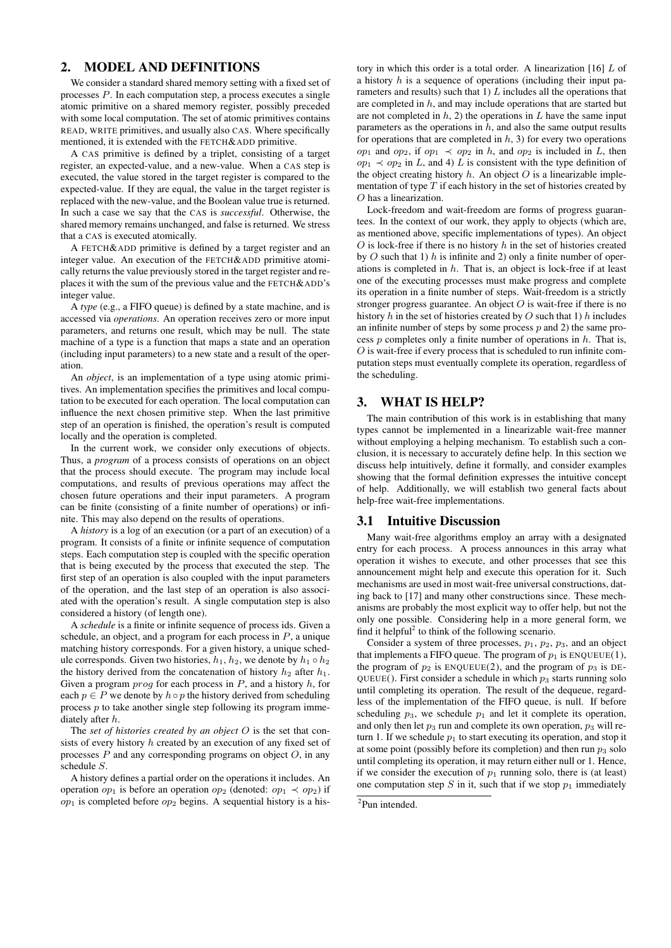### 2. MODEL AND DEFINITIONS

We consider a standard shared memory setting with a fixed set of processes *P*. In each computation step, a process executes a single atomic primitive on a shared memory register, possibly preceded with some local computation. The set of atomic primitives contains READ, WRITE primitives, and usually also CAS. Where specifically mentioned, it is extended with the FETCH&ADD primitive.

A CAS primitive is defined by a triplet, consisting of a target register, an expected-value, and a new-value. When a CAS step is executed, the value stored in the target register is compared to the expected-value. If they are equal, the value in the target register is replaced with the new-value, and the Boolean value true is returned. In such a case we say that the CAS is *successful*. Otherwise, the shared memory remains unchanged, and false is returned. We stress that a CAS is executed atomically.

A FETCH&ADD primitive is defined by a target register and an integer value. An execution of the FETCH&ADD primitive atomically returns the value previously stored in the target register and replaces it with the sum of the previous value and the FETCH&ADD's integer value.

A *type* (e.g., a FIFO queue) is defined by a state machine, and is accessed via *operations*. An operation receives zero or more input parameters, and returns one result, which may be null. The state machine of a type is a function that maps a state and an operation (including input parameters) to a new state and a result of the operation.

An *object*, is an implementation of a type using atomic primitives. An implementation specifies the primitives and local computation to be executed for each operation. The local computation can influence the next chosen primitive step. When the last primitive step of an operation is finished, the operation's result is computed locally and the operation is completed.

In the current work, we consider only executions of objects. Thus, a *program* of a process consists of operations on an object that the process should execute. The program may include local computations, and results of previous operations may affect the chosen future operations and their input parameters. A program can be finite (consisting of a finite number of operations) or infinite. This may also depend on the results of operations.

A *history* is a log of an execution (or a part of an execution) of a program. It consists of a finite or infinite sequence of computation steps. Each computation step is coupled with the specific operation that is being executed by the process that executed the step. The first step of an operation is also coupled with the input parameters of the operation, and the last step of an operation is also associated with the operation's result. A single computation step is also considered a history (of length one).

A *schedule* is a finite or infinite sequence of process ids. Given a schedule, an object, and a program for each process in *P*, a unique matching history corresponds. For a given history, a unique schedule corresponds. Given two histories,  $h_1$ ,  $h_2$ , we denote by  $h_1 \circ h_2$ the history derived from the concatenation of history  $h_2$  after  $h_1$ . Given a program *prog* for each process in *P*, and a history *h*, for each  $p \in P$  we denote by  $h \circ p$  the history derived from scheduling process *p* to take another single step following its program immediately after *h*.

The *set of histories created by an object O* is the set that consists of every history *h* created by an execution of any fixed set of processes *P* and any corresponding programs on object *O*, in any schedule *S*.

A history defines a partial order on the operations it includes. An operation  $op_1$  is before an operation  $op_2$  (denoted:  $op_1 \prec op_2$ ) if  $op<sub>1</sub>$  is completed before  $op<sub>2</sub>$  begins. A sequential history is a his-

tory in which this order is a total order. A linearization [16] *L* of a history *h* is a sequence of operations (including their input parameters and results) such that 1) *L* includes all the operations that are completed in *h*, and may include operations that are started but are not completed in *h*, 2) the operations in *L* have the same input parameters as the operations in *h*, and also the same output results for operations that are completed in *h*, 3) for every two operations *op*<sub>1</sub> and *op*<sub>2</sub>, if *op*<sub>1</sub>  $\prec$  *op*<sub>2</sub> in *h*, and *op*<sub>2</sub> is included in *L*, then  $op_1 \prec op_2$  in *L*, and 4) *L* is consistent with the type definition of the object creating history  $h$ . An object  $O$  is a linearizable implementation of type *T* if each history in the set of histories created by *O* has a linearization.

Lock-freedom and wait-freedom are forms of progress guarantees. In the context of our work, they apply to objects (which are, as mentioned above, specific implementations of types). An object *O* is lock-free if there is no history *h* in the set of histories created by *O* such that 1) *h* is infinite and 2) only a finite number of operations is completed in *h*. That is, an object is lock-free if at least one of the executing processes must make progress and complete its operation in a finite number of steps. Wait-freedom is a strictly stronger progress guarantee. An object *O* is wait-free if there is no history *h* in the set of histories created by *O* such that 1) *h* includes an infinite number of steps by some process *p* and 2) the same process *p* completes only a finite number of operations in *h*. That is, *O* is wait-free if every process that is scheduled to run infinite computation steps must eventually complete its operation, regardless of the scheduling.

### 3. WHAT IS HELP?

The main contribution of this work is in establishing that many types cannot be implemented in a linearizable wait-free manner without employing a helping mechanism. To establish such a conclusion, it is necessary to accurately define help. In this section we discuss help intuitively, define it formally, and consider examples showing that the formal definition expresses the intuitive concept of help. Additionally, we will establish two general facts about help-free wait-free implementations.

#### 3.1 Intuitive Discussion

Many wait-free algorithms employ an array with a designated entry for each process. A process announces in this array what operation it wishes to execute, and other processes that see this announcement might help and execute this operation for it. Such mechanisms are used in most wait-free universal constructions, dating back to [17] and many other constructions since. These mechanisms are probably the most explicit way to offer help, but not the only one possible. Considering help in a more general form, we find it helpful<sup>2</sup> to think of the following scenario.

Consider a system of three processes, *p*1, *p*2, *p*3, and an object that implements a FIFO queue. The program of  $p_1$  is  $ENQUEUE(1)$ , the program of  $p_2$  is ENQUEUE(2), and the program of  $p_3$  is DE-QUEUE(). First consider a schedule in which  $p_3$  starts running solo until completing its operation. The result of the dequeue, regardless of the implementation of the FIFO queue, is null. If before scheduling  $p_3$ , we schedule  $p_1$  and let it complete its operation, and only then let  $p_3$  run and complete its own operation,  $p_3$  will return 1. If we schedule  $p_1$  to start executing its operation, and stop it at some point (possibly before its completion) and then run  $p_3$  solo until completing its operation, it may return either null or 1. Hence, if we consider the execution of  $p_1$  running solo, there is (at least) one computation step  $S$  in it, such that if we stop  $p_1$  immediately

<sup>2</sup> Pun intended.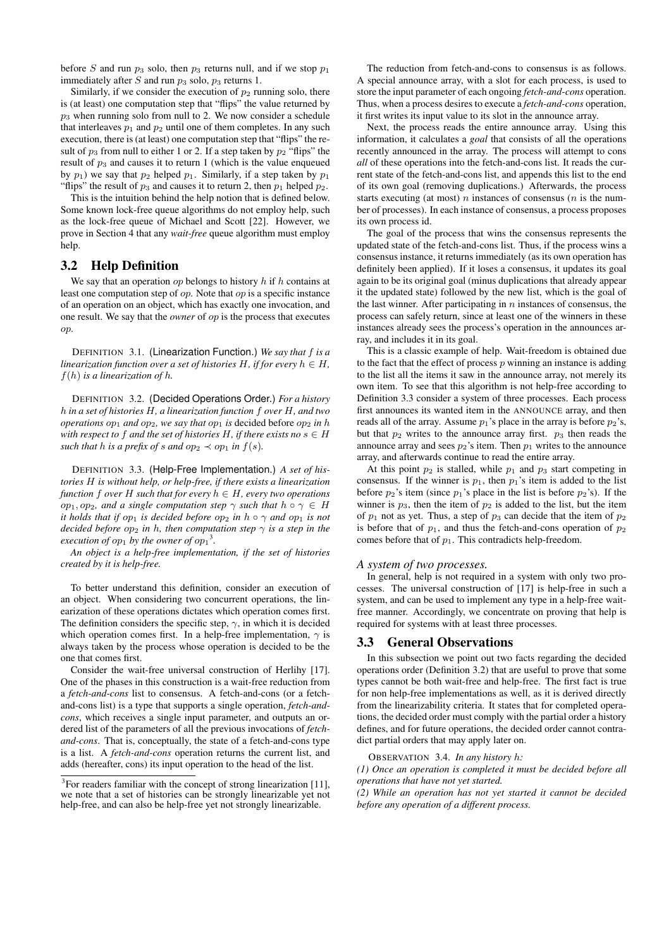before *S* and run  $p_3$  solo, then  $p_3$  returns null, and if we stop  $p_1$ immediately after *S* and run *p*<sup>3</sup> solo, *p*<sup>3</sup> returns 1.

Similarly, if we consider the execution of  $p_2$  running solo, there is (at least) one computation step that "flips" the value returned by *p*<sup>3</sup> when running solo from null to 2. We now consider a schedule that interleaves  $p_1$  and  $p_2$  until one of them completes. In any such execution, there is (at least) one computation step that "flips" the result of  $p_3$  from null to either 1 or 2. If a step taken by  $p_2$  "flips" the result of  $p_3$  and causes it to return 1 (which is the value enqueued by *p*1) we say that *p*<sup>2</sup> helped *p*1. Similarly, if a step taken by *p*<sup>1</sup> "flips" the result of  $p_3$  and causes it to return 2, then  $p_1$  helped  $p_2$ .

This is the intuition behind the help notion that is defined below. Some known lock-free queue algorithms do not employ help, such as the lock-free queue of Michael and Scott [22]. However, we prove in Section 4 that any *wait-free* queue algorithm must employ help.

### 3.2 Help Definition

We say that an operation *op* belongs to history *h* if *h* contains at least one computation step of *op*. Note that *op* is a specific instance of an operation on an object, which has exactly one invocation, and one result. We say that the *owner* of *op* is the process that executes *op*.

DEFINITION 3.1. (Linearization Function.) *We say that f is a linearization function over a set of histories*  $H$ *, if for every*  $h \in H$ *, f*(*h*) *is a linearization of h.*

DEFINITION 3.2. (Decided Operations Order.) *For a history h in a set of histories H, a linearization function f over H, and two operations*  $op_1$  *and*  $op_2$ *, we say that*  $op_1$  *is* decided before  $op_2$  *in h with respect to*  $f$  *and the set of histories*  $H$ *, if there exists no*  $s \in H$ *such that h is a prefix of <i>s and*  $op_2 \prec op_1$  *in*  $f(s)$ *.* 

DEFINITION 3.3. (Help-Free Implementation.) *A set of histories H is without help, or help-free, if there exists a linearization function f over H such that for every*  $h \in H$ *, every two operations op*<sub>1</sub>*, op*<sub>2</sub>*, and a single computation step*  $\gamma$  *such that*  $h \circ \gamma \in H$ *it holds that if*  $op_1$  *<i>is decided before*  $op_2$  *in*  $h \circ \gamma$  *and*  $op_1$  *is not decided before*  $op_2$  *in h, then computation step*  $\gamma$  *is a step in the execution of*  $op_1$  *by the owner of*  $op_1^3$ *.* 

*An object is a help-free implementation, if the set of histories created by it is help-free.*

To better understand this definition, consider an execution of an object. When considering two concurrent operations, the linearization of these operations dictates which operation comes first. The definition considers the specific step,  $\gamma$ , in which it is decided which operation comes first. In a help-free implementation,  $\gamma$  is always taken by the process whose operation is decided to be the one that comes first.

Consider the wait-free universal construction of Herlihy [17]. One of the phases in this construction is a wait-free reduction from a *fetch-and-cons* list to consensus. A fetch-and-cons (or a fetchand-cons list) is a type that supports a single operation, *fetch-andcons*, which receives a single input parameter, and outputs an ordered list of the parameters of all the previous invocations of *fetchand-cons*. That is, conceptually, the state of a fetch-and-cons type is a list. A *fetch-and-cons* operation returns the current list, and adds (hereafter, cons) its input operation to the head of the list.

The reduction from fetch-and-cons to consensus is as follows. A special announce array, with a slot for each process, is used to store the input parameter of each ongoing *fetch-and-cons* operation. Thus, when a process desires to execute a *fetch-and-cons* operation, it first writes its input value to its slot in the announce array.

Next, the process reads the entire announce array. Using this information, it calculates a *goal* that consists of all the operations recently announced in the array. The process will attempt to cons *all* of these operations into the fetch-and-cons list. It reads the current state of the fetch-and-cons list, and appends this list to the end of its own goal (removing duplications.) Afterwards, the process starts executing (at most) *n* instances of consensus (*n* is the number of processes). In each instance of consensus, a process proposes its own process id.

The goal of the process that wins the consensus represents the updated state of the fetch-and-cons list. Thus, if the process wins a consensus instance, it returns immediately (as its own operation has definitely been applied). If it loses a consensus, it updates its goal again to be its original goal (minus duplications that already appear it the updated state) followed by the new list, which is the goal of the last winner. After participating in *n* instances of consensus, the process can safely return, since at least one of the winners in these instances already sees the process's operation in the announces array, and includes it in its goal.

This is a classic example of help. Wait-freedom is obtained due to the fact that the effect of process *p* winning an instance is adding to the list all the items it saw in the announce array, not merely its own item. To see that this algorithm is not help-free according to Definition 3.3 consider a system of three processes. Each process first announces its wanted item in the ANNOUNCE array, and then reads all of the array. Assume  $p_1$ 's place in the array is before  $p_2$ 's, but that  $p_2$  writes to the announce array first.  $p_3$  then reads the announce array and sees  $p_2$ 's item. Then  $p_1$  writes to the announce array, and afterwards continue to read the entire array.

At this point  $p_2$  is stalled, while  $p_1$  and  $p_3$  start competing in consensus. If the winner is  $p_1$ , then  $p_1$ 's item is added to the list before  $p_2$ 's item (since  $p_1$ 's place in the list is before  $p_2$ 's). If the winner is  $p_3$ , then the item of  $p_2$  is added to the list, but the item of *p*<sup>1</sup> not as yet. Thus, a step of *p*<sup>3</sup> can decide that the item of *p*<sup>2</sup> is before that of  $p_1$ , and thus the fetch-and-cons operation of  $p_2$ comes before that of  $p_1$ . This contradicts help-freedom.

#### *A system of two processes.*

In general, help is not required in a system with only two processes. The universal construction of [17] is help-free in such a system, and can be used to implement any type in a help-free waitfree manner. Accordingly, we concentrate on proving that help is required for systems with at least three processes.

#### 3.3 General Observations

In this subsection we point out two facts regarding the decided operations order (Definition 3.2) that are useful to prove that some types cannot be both wait-free and help-free. The first fact is true for non help-free implementations as well, as it is derived directly from the linearizability criteria. It states that for completed operations, the decided order must comply with the partial order a history defines, and for future operations, the decided order cannot contradict partial orders that may apply later on.

#### OBSERVATION 3.4. *In any history h:*

*(1) Once an operation is completed it must be decided before all operations that have not yet started.*

*(2) While an operation has not yet started it cannot be decided before any operation of a different process.*

 $3$ For readers familiar with the concept of strong linearization [11], we note that a set of histories can be strongly linearizable yet not help-free, and can also be help-free yet not strongly linearizable.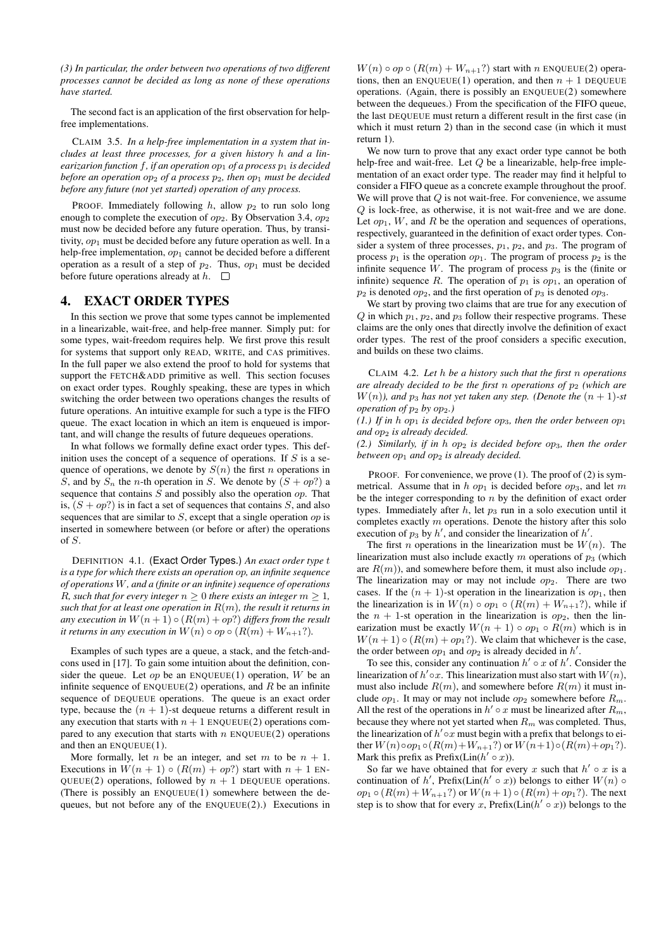*(3) In particular, the order between two operations of two different processes cannot be decided as long as none of these operations have started.*

The second fact is an application of the first observation for helpfree implementations.

CLAIM 3.5. *In a help-free implementation in a system that includes at least three processes, for a given history h and a linearizarion function f, if an operation op*<sup>1</sup> *of a process p*<sup>1</sup> *is decided before an operation*  $op_2$  *of a process*  $p_2$ , then  $op_1$  *must be decided before any future (not yet started) operation of any process.*

PROOF. Immediately following  $h$ , allow  $p_2$  to run solo long enough to complete the execution of *op*2. By Observation 3.4, *op*<sup>2</sup> must now be decided before any future operation. Thus, by transitivity,  $op_1$  must be decided before any future operation as well. In a help-free implementation,  $op_1$  cannot be decided before a different operation as a result of a step of  $p_2$ . Thus,  $op_1$  must be decided before future operations already at *h*.

### 4. EXACT ORDER TYPES

In this section we prove that some types cannot be implemented in a linearizable, wait-free, and help-free manner. Simply put: for some types, wait-freedom requires help. We first prove this result for systems that support only READ, WRITE, and CAS primitives. In the full paper we also extend the proof to hold for systems that support the FETCH&ADD primitive as well. This section focuses on exact order types. Roughly speaking, these are types in which switching the order between two operations changes the results of future operations. An intuitive example for such a type is the FIFO queue. The exact location in which an item is enqueued is important, and will change the results of future dequeues operations.

In what follows we formally define exact order types. This definition uses the concept of a sequence of operations. If *S* is a sequence of operations, we denote by  $S(n)$  the first *n* operations in *S*, and by  $S_n$  the *n*-th operation in *S*. We denote by  $(S + op?)$  a sequence that contains *S* and possibly also the operation *op*. That is,  $(S + op)$  is in fact a set of sequences that contains *S*, and also sequences that are similar to *S*, except that a single operation *op* is inserted in somewhere between (or before or after) the operations of *S*.

DEFINITION 4.1. (Exact Order Types.) *An exact order type t is a type for which there exists an operation op, an infinite sequence of operations W, and a (finite or an infinite) sequence of operations R, such that for every integer*  $n \geq 0$  *there exists an integer*  $m \geq 1$ *, such that for at least one operation in R*(*m*)*, the result it returns in any execution in*  $W(n+1) \circ (R(m) + op?)$  *differs from the result it returns in any execution in*  $W(n) \circ op \circ (R(m) + W_{n+1}$ ?).

Examples of such types are a queue, a stack, and the fetch-andcons used in [17]. To gain some intuition about the definition, consider the queue. Let  $op$  be an ENQUEUE(1) operation, *W* be an infinite sequence of ENQUEUE(2) operations, and *R* be an infinite sequence of DEQUEUE operations. The queue is an exact order type, because the  $(n + 1)$ -st dequeue returns a different result in any execution that starts with  $n + 1$  ENQUEUE(2) operations compared to any execution that starts with  $n$  ENQUEUE(2) operations and then an ENQUEUE(1).

More formally, let *n* be an integer, and set *m* to be  $n + 1$ . Executions in  $W(n + 1) \circ (R(m) + op?)$  start with  $n + 1$  EN-QUEUE(2) operations, followed by  $n + 1$  DEQUEUE operations. (There is possibly an ENQUEUE(1) somewhere between the dequeues, but not before any of the ENQUEUE(2).) Executions in

 $W(n) \circ op \circ (R(m) + W_{n+1})$ ?) start with *n* ENQUEUE(2) operations, then an ENQUEUE(1) operation, and then  $n + 1$  DEQUEUE operations. (Again, there is possibly an ENQUEUE(2) somewhere between the dequeues.) From the specification of the FIFO queue, the last DEQUEUE must return a different result in the first case (in which it must return 2) than in the second case (in which it must return 1).

We now turn to prove that any exact order type cannot be both help-free and wait-free. Let *Q* be a linearizable, help-free implementation of an exact order type. The reader may find it helpful to consider a FIFO queue as a concrete example throughout the proof. We will prove that *Q* is not wait-free. For convenience, we assume *Q* is lock-free, as otherwise, it is not wait-free and we are done. Let  $op_1$ , *W*, and *R* be the operation and sequences of operations, respectively, guaranteed in the definition of exact order types. Consider a system of three processes, *p*1, *p*2, and *p*3. The program of process  $p_1$  is the operation  $op_1$ . The program of process  $p_2$  is the infinite sequence *W*. The program of process  $p_3$  is the (finite or infinite) sequence *R*. The operation of  $p_1$  is  $op_1$ , an operation of  $p_2$  is denoted  $op_2$ , and the first operation of  $p_3$  is denoted  $op_3$ .

We start by proving two claims that are true for any execution of *Q* in which  $p_1$ ,  $p_2$ , and  $p_3$  follow their respective programs. These claims are the only ones that directly involve the definition of exact order types. The rest of the proof considers a specific execution, and builds on these two claims.

CLAIM 4.2. *Let h be a history such that the first n operations are already decided to be the first n operations of p*<sup>2</sup> *(which are*  $W(n)$ , and  $p_3$  has not yet taken any step. (Denote the  $(n + 1)$ -st *operation of*  $p_2$  *by*  $op_2$ *.*)

*(1.)* If in *h*  $op_1$  *is decided before*  $op_3$ *, then the order between*  $op_1$ *and op*<sup>2</sup> *is already decided.*

*(2.) Similarly, if in h op*<sup>2</sup> *is decided before op*3*, then the order between op*<sup>1</sup> *and op*<sup>2</sup> *is already decided.*

PROOF. For convenience, we prove (1). The proof of (2) is symmetrical. Assume that in  $h$  op<sub>1</sub> is decided before op<sub>3</sub>, and let m be the integer corresponding to *n* by the definition of exact order types. Immediately after  $h$ , let  $p_3$  run in a solo execution until it completes exactly *m* operations. Denote the history after this solo execution of  $p_3$  by  $h'$ , and consider the linearization of  $h'$ .

The first *n* operations in the linearization must be  $W(n)$ . The linearization must also include exactly *m* operations of *p*<sup>3</sup> (which are  $R(m)$ , and somewhere before them, it must also include  $op_1$ . The linearization may or may not include  $op_2$ . There are two cases. If the  $(n + 1)$ -st operation in the linearization is  $op_1$ , then the linearization is in  $W(n) \circ op_1 \circ (R(m) + W_{n+1})$ , while if the  $n + 1$ -st operation in the linearization is  $op_2$ , then the linearization must be exactly  $W(n + 1) \circ op_1 \circ R(m)$  which is in  $W(n + 1) \circ (R(m) + op_1?)$ . We claim that whichever is the case, the order between  $op_1$  and  $op_2$  is already decided in  $h'$ .

To see this, consider any continuation  $h' \circ x$  of  $h'$ . Consider the linearization of  $h' \circ x$ . This linearization must also start with  $W(n)$ , must also include  $R(m)$ , and somewhere before  $R(m)$  it must include  $op_1$ . It may or may not include  $op_2$  somewhere before  $R_m$ . All the rest of the operations in  $h' \circ x$  must be linearized after  $R_m$ , because they where not yet started when *R<sup>m</sup>* was completed. Thus, the linearization of  $h' \circ x$  must begin with a prefix that belongs to either  $W(n) \circ op_1 \circ (R(m) + W_{n+1}$ ?) or  $W(n+1) \circ (R(m) + op_1)$ ?. Mark this prefix as Prefix( $\text{Lin}(h' \circ x)$ ).

So far we have obtained that for every x such that  $h' \circ x$  is a continuation of *h'*, Prefix(Lin(*h'*  $\circ$  *x*)) belongs to either  $W(n)$   $\circ$ *op*<sub>1</sub>  $\circ$  (*R*(*m*) + *W*<sub>*n*+1</sub>?) or *W*(*n* + 1)  $\circ$  (*R*(*m*) + *op*<sub>1</sub>?). The next step is to show that for every *x*, Prefix( $\text{Lin}(h' \circ x)$ ) belongs to the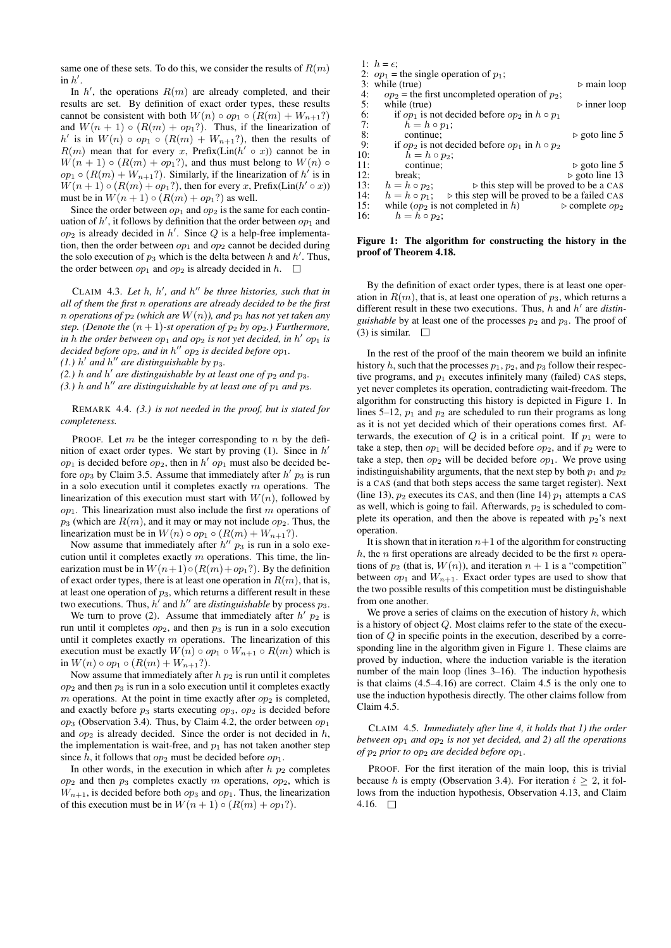same one of these sets. To do this, we consider the results of *R*(*m*) in *h ′* .

In  $h'$ , the operations  $R(m)$  are already completed, and their results are set. By definition of exact order types, these results cannot be consistent with both  $W(n) \circ op_1 \circ (R(m) + W_{n+1})$ ? and  $W(n + 1) \circ (R(m) + op_1)$ . Thus, if the linearization of  $h'$  is in  $W(n) \circ op_1 \circ (R(m) + W_{n+1}$ ?), then the results of *R*(*m*) mean that for every *x*, Prefix(Lin( $h' \circ x$ ) cannot be in  $W(n + 1) \circ (R(m) + op_1?)$ , and thus must belong to  $W(n) \circ$  $op_1 \circ (R(m) + W_{n+1})$ . Similarly, if the linearization of *h'* is in *W*( $n + 1$ ) ◦ ( $R(m) + op_1$ ?), then for every *x*, Prefix( $Lin(h' ∘ x)$ ) must be in  $W(n + 1) \circ (R(m) + op_1?)$  as well.

Since the order between  $op_1$  and  $op_2$  is the same for each continuation of  $h'$ , it follows by definition that the order between  $op_1$  and  $op_2$  is already decided in  $h'$ . Since  $Q$  is a help-free implementation, then the order between  $op_1$  and  $op_2$  cannot be decided during the solo execution of  $p_3$  which is the delta between  $h$  and  $h'$ . Thus, the order between  $op_1$  and  $op_2$  is already decided in *h*.  $\square$ 

CLAIM 4.3. *Let h, h ′ , and h ′′ be three histories, such that in all of them the first n operations are already decided to be the first n operations of*  $p_2$  *(which are*  $W(n)$ *), and*  $p_3$  *has not yet taken any step.* (Denote the  $(n + 1)$ -st operation of  $p_2$  by  $op_2$ .) Furthermore, *in h the order between*  $op_1$  *and*  $op_2$  *is not yet decided, in*  $h'$   $op_1$  *is decided before op*2*, and in h ′′ op*<sup>2</sup> *is decided before op*1*.*

*(1.)*  $h'$  *and*  $h''$  *are distinguishable by*  $p_3$ *.* 

*(2.) h* and *h'* are distinguishable by at least one of  $p_2$  and  $p_3$ .

*(3.) h* and *h*<sup> $\prime\prime$ </sup> are distinguishable by at least one of  $p_1$  and  $p_3$ .

REMARK 4.4. *(3.) is not needed in the proof, but is stated for completeness.*

PROOF. Let *m* be the integer corresponding to *n* by the definition of exact order types. We start by proving (1). Since in *h ′*  $op_1$  is decided before  $op_2$ , then in  $h'op_1$  must also be decided before  $op_3$  by Claim 3.5. Assume that immediately after  $h'$   $p_3$  is run in a solo execution until it completes exactly *m* operations. The linearization of this execution must start with  $W(n)$ , followed by *op*1. This linearization must also include the first *m* operations of  $p_3$  (which are  $R(m)$ , and it may or may not include  $op_2$ . Thus, the linearization must be in  $W(n) \circ op_1 \circ (R(m) + W_{n+1})$ .

Now assume that immediately after  $h''$   $p_3$  is run in a solo execution until it completes exactly *m* operations. This time, the linearization must be in  $W(n+1) \circ (R(m) + op_1)$ . By the definition of exact order types, there is at least one operation in *R*(*m*), that is, at least one operation of  $p_3$ , which returns a different result in these two executions. Thus, *h ′* and *h ′′* are *distinguishable* by process *p*3.

We turn to prove (2). Assume that immediately after  $h'$   $p_2$  is run until it completes  $op_2$ , and then  $p_3$  is run in a solo execution until it completes exactly *m* operations. The linearization of this execution must be exactly  $W(n) \circ op_1 \circ W_{n+1} \circ R(m)$  which is in  $W(n) ∘ op_1 ∘ (R(m) + W_{n+1}$ ?).

Now assume that immediately after *h p*<sub>2</sub> is run until it completes  $op<sub>2</sub>$  and then  $p<sub>3</sub>$  is run in a solo execution until it completes exactly *m* operations. At the point in time exactly after  $op<sub>2</sub>$  is completed, and exactly before  $p_3$  starts executing  $op_3$ ,  $op_2$  is decided before  $op_3$  (Observation 3.4). Thus, by Claim 4.2, the order between  $op_1$ and  $op_2$  is already decided. Since the order is not decided in  $h$ , the implementation is wait-free, and  $p_1$  has not taken another step since  $h$ , it follows that  $op_2$  must be decided before  $op_1$ .

In other words, in the execution in which after  $h$   $p_2$  completes *op*<sup>2</sup> and then *p*<sup>3</sup> completes exactly *m* operations, *op*2, which is  $W_{n+1}$ , is decided before both  $op_3$  and  $op_1$ . Thus, the linearization of this execution must be in  $W(n + 1) \circ (R(m) + op_1)$ .

| ×. | ۰,<br>×<br>۰ |  |
|----|--------------|--|
|    |              |  |

|     | 2: $op_1$ = the single operation of $p_1$ ;                                         |                                  |  |
|-----|-------------------------------------------------------------------------------------|----------------------------------|--|
|     | 3: while (true)                                                                     | $\triangleright$ main loop       |  |
| 4:  | $op_2$ = the first uncompleted operation of $p_2$ ;                                 |                                  |  |
| 5:  | while (true)                                                                        | $\triangleright$ inner loop      |  |
| 6:  | if $op_1$ is not decided before $op_2$ in $h \circ p_1$                             |                                  |  |
| 7:  | $h = h \circ p_1;$                                                                  |                                  |  |
| 8:  | continue:                                                                           | $\triangleright$ goto line 5     |  |
| 9:  | if $op_2$ is not decided before $op_1$ in $h \circ p_2$                             |                                  |  |
| 10: | $h = h \circ p_2;$                                                                  |                                  |  |
| 11: | continue;                                                                           | $\triangleright$ goto line 5     |  |
| 12: | break;                                                                              | $\triangleright$ goto line 13    |  |
| 13: | $h = h \circ p_2;$<br>$\triangleright$ this step will be proved to be a CAS         |                                  |  |
| 14: | $h = h \circ p_1$ ;<br>$\triangleright$ this step will be proved to be a failed CAS |                                  |  |
| 15: | while $(op_2$ is not completed in h)                                                | $\triangleright$ complete $op_2$ |  |

16:  $h = h \circ p_2$ ;

#### Figure 1: The algorithm for constructing the history in the proof of Theorem 4.18.

By the definition of exact order types, there is at least one operation in  $R(m)$ , that is, at least one operation of  $p_3$ , which returns a different result in these two executions. Thus, *h* and *h ′* are *distinguishable* by at least one of the processes *p*<sup>2</sup> and *p*3. The proof of  $(3)$  is similar.  $\square$ 

In the rest of the proof of the main theorem we build an infinite history  $h$ , such that the processes  $p_1$ ,  $p_2$ , and  $p_3$  follow their respective programs, and  $p_1$  executes infinitely many (failed) CAS steps, yet never completes its operation, contradicting wait-freedom. The algorithm for constructing this history is depicted in Figure 1. In lines  $5-12$ ,  $p_1$  and  $p_2$  are scheduled to run their programs as long as it is not yet decided which of their operations comes first. Afterwards, the execution of  $Q$  is in a critical point. If  $p_1$  were to take a step, then  $op_1$  will be decided before  $op_2$ , and if  $p_2$  were to take a step, then  $op_2$  will be decided before  $op_1$ . We prove using indistinguishability arguments, that the next step by both  $p_1$  and  $p_2$ is a CAS (and that both steps access the same target register). Next (line 13),  $p_2$  executes its CAS, and then (line 14)  $p_1$  attempts a CAS as well, which is going to fail. Afterwards,  $p_2$  is scheduled to complete its operation, and then the above is repeated with  $p_2$ 's next operation.

It is shown that in iteration  $n+1$  of the algorithm for constructing *h*, the *n* first operations are already decided to be the first *n* operations of  $p_2$  (that is,  $W(n)$ ), and iteration  $n + 1$  is a "competition" between  $op_1$  and  $W_{n+1}$ . Exact order types are used to show that the two possible results of this competition must be distinguishable from one another.

We prove a series of claims on the execution of history *h*, which is a history of object *Q*. Most claims refer to the state of the execution of *Q* in specific points in the execution, described by a corresponding line in the algorithm given in Figure 1. These claims are proved by induction, where the induction variable is the iteration number of the main loop (lines 3–16). The induction hypothesis is that claims (4.5–4.16) are correct. Claim 4.5 is the only one to use the induction hypothesis directly. The other claims follow from Claim 4.5.

#### CLAIM 4.5. *Immediately after line 4, it holds that 1) the order between op*<sup>1</sup> *and op*<sup>2</sup> *is not yet decided, and 2) all the operations of p*<sup>2</sup> *prior to op*<sup>2</sup> *are decided before op*1*.*

PROOF. For the first iteration of the main loop, this is trivial because *h* is empty (Observation 3.4). For iteration  $i > 2$ , it follows from the induction hypothesis, Observation 4.13, and Claim 4.16.  $\Box$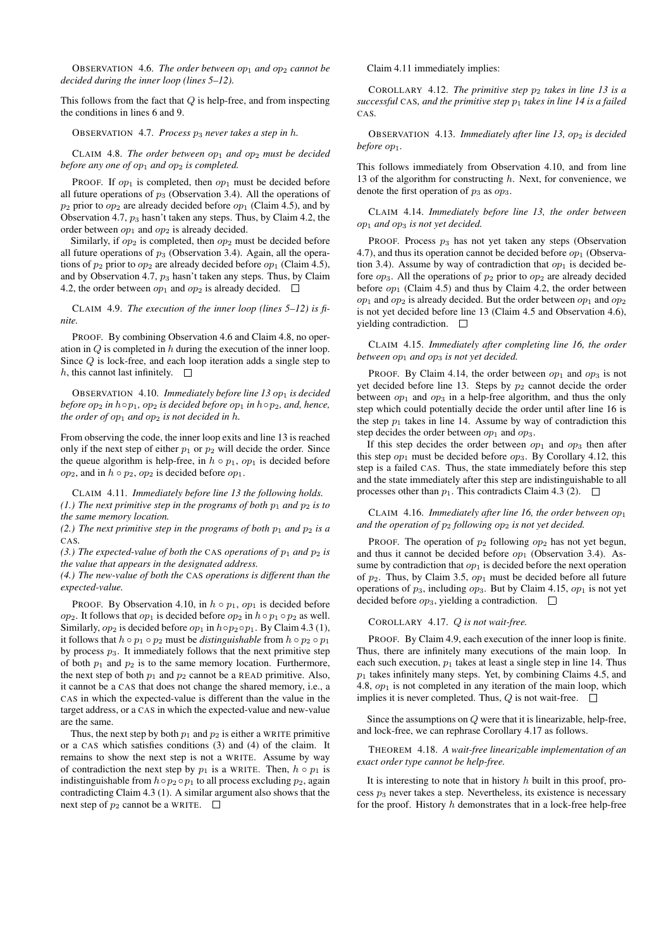OBSERVATION 4.6. *The order between op*<sup>1</sup> *and op*<sup>2</sup> *cannot be decided during the inner loop (lines 5–12).*

This follows from the fact that *Q* is help-free, and from inspecting the conditions in lines 6 and 9.

OBSERVATION 4.7. *Process p*<sup>3</sup> *never takes a step in h.*

CLAIM 4.8. *The order between op*<sup>1</sup> *and op*<sup>2</sup> *must be decided before any one of op*<sup>1</sup> *and op*<sup>2</sup> *is completed.*

PROOF. If *op*<sub>1</sub> is completed, then *op*<sub>1</sub> must be decided before all future operations of *p*<sup>3</sup> (Observation 3.4). All the operations of  $p_2$  prior to  $op_2$  are already decided before  $op_1$  (Claim 4.5), and by Observation 4.7, *p*<sup>3</sup> hasn't taken any steps. Thus, by Claim 4.2, the order between  $op_1$  and  $op_2$  is already decided.

Similarly, if  $op_2$  is completed, then  $op_2$  must be decided before all future operations of  $p_3$  (Observation 3.4). Again, all the operations of  $p_2$  prior to  $op_2$  are already decided before  $op_1$  (Claim 4.5), and by Observation 4.7, *p*<sup>3</sup> hasn't taken any steps. Thus, by Claim 4.2, the order between  $op_1$  and  $op_2$  is already decided.  $\square$ 

CLAIM 4.9. *The execution of the inner loop (lines 5–12) is finite.*

PROOF. By combining Observation 4.6 and Claim 4.8, no operation in *Q* is completed in *h* during the execution of the inner loop. Since *Q* is lock-free, and each loop iteration adds a single step to *h*, this cannot last infinitely.  $\square$ 

OBSERVATION 4.10. *Immediately before line 13 op*<sup>1</sup> *is decided before*  $op_2$  *in*  $h \circ p_1$ *,*  $op_2$  *is decided before*  $op_1$  *in*  $h \circ p_2$ *, and, hence, the order of*  $op_1$  *and*  $op_2$  *is not decided in h.* 

From observing the code, the inner loop exits and line 13 is reached only if the next step of either *p*<sup>1</sup> or *p*<sup>2</sup> will decide the order. Since the queue algorithm is help-free, in  $h \circ p_1$ ,  $op_1$  is decided before *op*2, and in *h ◦ p*2, *op*<sup>2</sup> is decided before *op*1.

CLAIM 4.11. *Immediately before line 13 the following holds. (1.)* The next primitive step in the programs of both  $p_1$  *and*  $p_2$  *is to the same memory location.*

*(2.) The next primitive step in the programs of both*  $p_1$  *and*  $p_2$  *is a* CAS*.*

*(3.) The expected-value of both the* CAS *operations of*  $p_1$  *and*  $p_2$  *is the value that appears in the designated address.*

*(4.) The new-value of both the* CAS *operations is different than the expected-value.*

PROOF. By Observation 4.10, in  $h \circ p_1$ ,  $op_1$  is decided before *op*<sub>2</sub>. It follows that *op*<sub>1</sub> is decided before *op*<sub>2</sub> in  $h \circ p_1 \circ p_2$  as well. Similarly,  $op_2$  is decided before  $op_1$  in  $h \circ p_2 \circ p_1$ . By Claim 4.3 (1), it follows that  $h \circ p_1 \circ p_2$  must be *distinguishable* from  $h \circ p_2 \circ p_1$ by process  $p_3$ . It immediately follows that the next primitive step of both  $p_1$  and  $p_2$  is to the same memory location. Furthermore, the next step of both  $p_1$  and  $p_2$  cannot be a READ primitive. Also, it cannot be a CAS that does not change the shared memory, i.e., a CAS in which the expected-value is different than the value in the target address, or a CAS in which the expected-value and new-value are the same.

Thus, the next step by both  $p_1$  and  $p_2$  is either a WRITE primitive or a CAS which satisfies conditions (3) and (4) of the claim. It remains to show the next step is not a WRITE. Assume by way of contradiction the next step by  $p_1$  is a WRITE. Then,  $h \circ p_1$  is indistinguishable from  $h \circ p_2 \circ p_1$  to all process excluding  $p_2$ , again contradicting Claim 4.3 (1). A similar argument also shows that the next step of  $p_2$  cannot be a WRITE.  $\Box$ 

Claim 4.11 immediately implies:

COROLLARY 4.12. *The primitive step p*<sup>2</sup> *takes in line 13 is a successful* CAS*, and the primitive step p*<sup>1</sup> *takes in line 14 is a failed* CAS*.*

OBSERVATION 4.13. *Immediately after line 13, op*<sup>2</sup> *is decided before*  $op_1$ *.* 

This follows immediately from Observation 4.10, and from line 13 of the algorithm for constructing *h*. Next, for convenience, we denote the first operation of  $p_3$  as  $op_3$ .

CLAIM 4.14. *Immediately before line 13, the order between op*<sup>1</sup> *and op*<sup>3</sup> *is not yet decided.*

PROOF. Process  $p_3$  has not yet taken any steps (Observation 4.7), and thus its operation cannot be decided before  $op<sub>1</sub>$  (Observation 3.4). Assume by way of contradiction that  $op<sub>1</sub>$  is decided before *op*3. All the operations of *p*<sup>2</sup> prior to *op*<sup>2</sup> are already decided before *op*<sup>1</sup> (Claim 4.5) and thus by Claim 4.2, the order between  $op_1$  and  $op_2$  is already decided. But the order between  $op_1$  and  $op_2$ is not yet decided before line 13 (Claim 4.5 and Observation 4.6), yielding contradiction.  $\Box$ 

CLAIM 4.15. *Immediately after completing line 16, the order between op*<sup>1</sup> *and op*<sup>3</sup> *is not yet decided.*

PROOF. By Claim 4.14, the order between  $op_1$  and  $op_3$  is not yet decided before line 13. Steps by  $p_2$  cannot decide the order between  $op_1$  and  $op_3$  in a help-free algorithm, and thus the only step which could potentially decide the order until after line 16 is the step  $p_1$  takes in line 14. Assume by way of contradiction this step decides the order between  $op_1$  and  $op_3$ .

If this step decides the order between  $op_1$  and  $op_3$  then after this step *op*<sup>1</sup> must be decided before *op*3. By Corollary 4.12, this step is a failed CAS. Thus, the state immediately before this step and the state immediately after this step are indistinguishable to all processes other than  $p_1$ . This contradicts Claim 4.3 (2).  $\Box$ 

CLAIM 4.16. *Immediately after line 16, the order between op*<sup>1</sup> *and the operation of*  $p_2$  *following*  $op_2$  *is not yet decided.* 

PROOF. The operation of  $p_2$  following  $op_2$  has not yet begun, and thus it cannot be decided before  $op<sub>1</sub>$  (Observation 3.4). Assume by contradiction that  $op_1$  is decided before the next operation of *p*2. Thus, by Claim 3.5, *op*<sup>1</sup> must be decided before all future operations of *p*3, including *op*3. But by Claim 4.15, *op*<sup>1</sup> is not yet decided before  $op_3$ , yielding a contradiction.  $\Box$ 

COROLLARY 4.17. *Q is not wait-free.*

PROOF. By Claim 4.9, each execution of the inner loop is finite. Thus, there are infinitely many executions of the main loop. In each such execution,  $p_1$  takes at least a single step in line 14. Thus *p*<sup>1</sup> takes infinitely many steps. Yet, by combining Claims 4.5, and 4.8,  $op<sub>1</sub>$  is not completed in any iteration of the main loop, which implies it is never completed. Thus,  $Q$  is not wait-free.  $\Box$ 

Since the assumptions on *Q* were that it is linearizable, help-free, and lock-free, we can rephrase Corollary 4.17 as follows.

THEOREM 4.18. *A wait-free linearizable implementation of an exact order type cannot be help-free.*

It is interesting to note that in history *h* built in this proof, process *p*<sup>3</sup> never takes a step. Nevertheless, its existence is necessary for the proof. History *h* demonstrates that in a lock-free help-free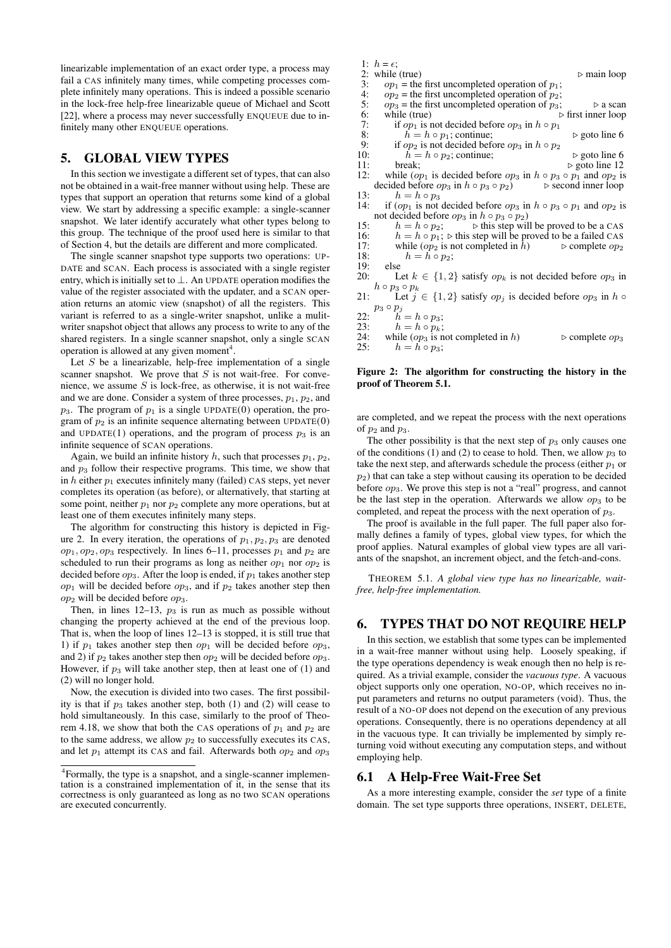linearizable implementation of an exact order type, a process may fail a CAS infinitely many times, while competing processes complete infinitely many operations. This is indeed a possible scenario in the lock-free help-free linearizable queue of Michael and Scott [22], where a process may never successfully ENQUEUE due to infinitely many other ENQUEUE operations.

### 5. GLOBAL VIEW TYPES

In this section we investigate a different set of types, that can also not be obtained in a wait-free manner without using help. These are types that support an operation that returns some kind of a global view. We start by addressing a specific example: a single-scanner snapshot. We later identify accurately what other types belong to this group. The technique of the proof used here is similar to that of Section 4, but the details are different and more complicated.

The single scanner snapshot type supports two operations: UP-DATE and SCAN. Each process is associated with a single register entry, which is initially set to *⊥*. An UPDATE operation modifies the value of the register associated with the updater, and a SCAN operation returns an atomic view (snapshot) of all the registers. This variant is referred to as a single-writer snapshot, unlike a mulitwriter snapshot object that allows any process to write to any of the shared registers. In a single scanner snapshot, only a single SCAN operation is allowed at any given moment<sup>4</sup>.

Let *S* be a linearizable, help-free implementation of a single scanner snapshot. We prove that *S* is not wait-free. For convenience, we assume *S* is lock-free, as otherwise, it is not wait-free and we are done. Consider a system of three processes,  $p_1$ ,  $p_2$ , and  $p_3$ . The program of  $p_1$  is a single UPDATE(0) operation, the program of  $p_2$  is an infinite sequence alternating between UPDATE $(0)$ and UPDATE(1) operations, and the program of process  $p_3$  is an infinite sequence of SCAN operations.

Again, we build an infinite history  $h$ , such that processes  $p_1$ ,  $p_2$ , and *p*<sup>3</sup> follow their respective programs. This time, we show that in  $h$  either  $p_1$  executes infinitely many (failed) CAS steps, yet never completes its operation (as before), or alternatively, that starting at some point, neither  $p_1$  nor  $p_2$  complete any more operations, but at least one of them executes infinitely many steps.

The algorithm for constructing this history is depicted in Figure 2. In every iteration, the operations of  $p_1, p_2, p_3$  are denoted  $op_1$ ,  $op_2$ ,  $op_3$  respectively. In lines 6–11, processes  $p_1$  and  $p_2$  are scheduled to run their programs as long as neither  $op_1$  nor  $op_2$  is decided before  $op_3$ . After the loop is ended, if  $p_1$  takes another step  $op_1$  will be decided before  $op_3$ , and if  $p_2$  takes another step then *op*<sup>2</sup> will be decided before *op*3.

Then, in lines  $12-13$ ,  $p_3$  is run as much as possible without changing the property achieved at the end of the previous loop. That is, when the loop of lines 12–13 is stopped, it is still true that 1) if  $p_1$  takes another step then  $op_1$  will be decided before  $op_3$ , and 2) if  $p_2$  takes another step then  $op_2$  will be decided before  $op_3$ . However, if  $p_3$  will take another step, then at least one of  $(1)$  and (2) will no longer hold.

Now, the execution is divided into two cases. The first possibility is that if  $p_3$  takes another step, both (1) and (2) will cease to hold simultaneously. In this case, similarly to the proof of Theorem 4.18, we show that both the CAS operations of  $p_1$  and  $p_2$  are to the same address, we allow  $p_2$  to successfully executes its CAS, and let  $p_1$  attempt its CAS and fail. Afterwards both  $op_2$  and  $op_3$ 

1:  $h = \epsilon$ ; 2: while (true)  $\rho_1$  = the first uncompleted operation of  $p_1$ ; 3:  $op_1$  = the first uncompleted operation of  $p_1$ ;<br>4:  $op_2$  = the first uncompleted operation of  $p_2$ ; 4:  $\hat{op}_2$  = the first uncompleted operation of  $\hat{p}_2$ ;<br>5:  $\hat{op}_3$  = the first uncompleted operation of  $p_3$ ; 5:  $\hat{op}_3$  = the first uncompleted operation of  $\hat{p}_3$ ;  $\triangleright$  a scan 6: while (true)  $\triangleright$  first inner loop 6: while (true) *◃* first inner loop 7: if  $op_1$  is not decided before  $op_3$  in  $h \circ p_1$ <br>8:  $h = h \circ p_1$ ; continue; 8:  $\hat{h} = h \circ p_1$ ; continue;  $\circ p_2$  is not decided before  $\omega p_3$  in  $h \circ p_2$ 9: if  $op_2$  is not decided before  $op_3$  in  $h \circ p_2$ <br>10:  $h = h \circ p_2$ ; continue;  $h = h \circ p_2$ ; continue;  $\triangleright$  goto line 6 11: break;  $\rhd$  goto line 12 12: while  $(op_1$  is decided before  $op_3$  in  $h \circ p_3 \circ p_1$  and  $op_2$  is decided before  $op_3$  in  $h \circ p_3 \circ p_2$  > second inner loop 13:  $h = h \circ p_3$ <br>14: if  $(\omega p_1)$  is not if  $(op_1$  is not decided before  $op_3$  in  $h \circ p_3 \circ p_1$  and  $op_2$  is not decided before  $op_3$  in  $h \circ p_3 \circ p_2$ )<br> $h = h \circ p_2$ ;  $\triangleright$  this step wil

- 15:  $h = h \circ p_2$ ;  $\triangleright$  this step will be proved to be a CAS 16:  $h = h \circ p_1$ ;  $\triangleright$  this step will be proved to be a failed CAS
- 16:  $h = h \circ p_1$ ;  $\triangleright$  this step will be proved to be a failed CAS 17: while  $(op_2$  is not completed in h)  $\triangleright$  complete  $op_2$ 17: while  $(op_2$  is not completed in *h*) **18**:  $h = h \circ p_2$ :
- 18:  $h = h \circ p_2;$ <br>19: else
- 19: else

Let  $k \in \{1, 2\}$  satisfy  $op_k$  is not decided before  $op_3$  in  $h ∘ p_3 ∘ p_k$ 

21: Let  $j \in \{1,2\}$  satisfy  $op_j$  is decided before  $op_3$  in  $h \circ$ *p*<sup>3</sup> *◦ p<sup>j</sup>*

- 22:  $h = h \circ p_3;$
- 23:  $h = h \circ p_k$ ;<br>24: while  $(op_3$  is n

24: while  $(op_3$  is not completed in *h*)  $\triangleright$  complete  $op_3$ <br>25:  $h = h \circ p_3$ :  $h = h \circ p_3;$ 

#### Figure 2: The algorithm for constructing the history in the proof of Theorem 5.1.

are completed, and we repeat the process with the next operations of  $p_2$  and  $p_3$ .

The other possibility is that the next step of  $p_3$  only causes one of the conditions (1) and (2) to cease to hold. Then, we allow  $p_3$  to take the next step, and afterwards schedule the process (either  $p_1$  or *p*2) that can take a step without causing its operation to be decided before *op*3. We prove this step is not a "real" progress, and cannot be the last step in the operation. Afterwards we allow  $op_3$  to be completed, and repeat the process with the next operation of *p*3.

The proof is available in the full paper. The full paper also formally defines a family of types, global view types, for which the proof applies. Natural examples of global view types are all variants of the snapshot, an increment object, and the fetch-and-cons.

THEOREM 5.1. *A global view type has no linearizable, waitfree, help-free implementation.*

### 6. TYPES THAT DO NOT REQUIRE HELP

In this section, we establish that some types can be implemented in a wait-free manner without using help. Loosely speaking, if the type operations dependency is weak enough then no help is required. As a trivial example, consider the *vacuous type*. A vacuous object supports only one operation, NO-OP, which receives no input parameters and returns no output parameters (void). Thus, the result of a NO-OP does not depend on the execution of any previous operations. Consequently, there is no operations dependency at all in the vacuous type. It can trivially be implemented by simply returning void without executing any computation steps, and without employing help.

#### 6.1 A Help-Free Wait-Free Set

As a more interesting example, consider the *set* type of a finite domain. The set type supports three operations, INSERT, DELETE,

<sup>4</sup> Formally, the type is a snapshot, and a single-scanner implementation is a constrained implementation of it, in the sense that its correctness is only guaranteed as long as no two SCAN operations are executed concurrently.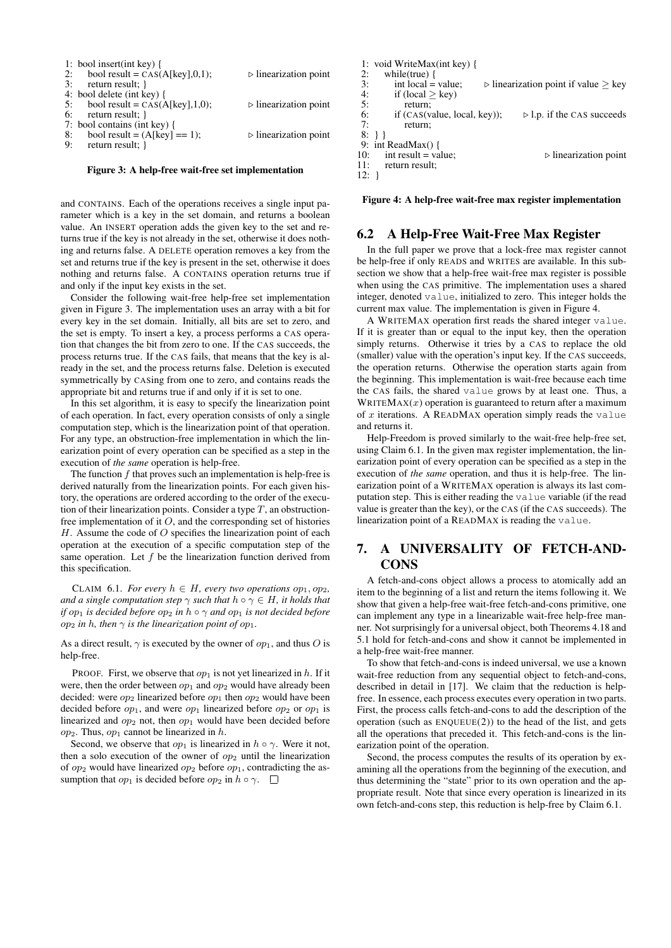```
1: bool insert(int key) {<br>2: bool result = CAS(<br>3: return result; }
             bool result = CAS(A[key], 0, 1); \triangleright linearization point
3: return result; }<br>4: bool delete (int k
4: bool delete (int key) {<br>5: bool result = CAS(A)\text{5: } \text{5: } \text{5: } \text{5: } \text{5: } \text{6: } \text{6: } \text{6: } \text{6: } \text{7: } \text{7: } \text{7: } \text{7: } \text{7: } \text{8: } \text{7: } \text{8: } \text{8: } \text{8: } \text{9: } \text{9: } \text{10: } \text{10: } \text{11: } \text{12: } \text{13: } \text{14: } \text{15: } \text{16: } \text{16: } \text{17: } \text{17: } \text{18: } \text{18: } \text{6: return result; }
 7: bool contains (int key) {
 8: bool result = (A[key] == 1); \triangleright linearization point 9: return result: \}return result; }
```
#### Figure 3: A help-free wait-free set implementation

and CONTAINS. Each of the operations receives a single input parameter which is a key in the set domain, and returns a boolean value. An INSERT operation adds the given key to the set and returns true if the key is not already in the set, otherwise it does nothing and returns false. A DELETE operation removes a key from the set and returns true if the key is present in the set, otherwise it does nothing and returns false. A CONTAINS operation returns true if and only if the input key exists in the set.

Consider the following wait-free help-free set implementation given in Figure 3. The implementation uses an array with a bit for every key in the set domain. Initially, all bits are set to zero, and the set is empty. To insert a key, a process performs a CAS operation that changes the bit from zero to one. If the CAS succeeds, the process returns true. If the CAS fails, that means that the key is already in the set, and the process returns false. Deletion is executed symmetrically by CASing from one to zero, and contains reads the appropriate bit and returns true if and only if it is set to one.

In this set algorithm, it is easy to specify the linearization point of each operation. In fact, every operation consists of only a single computation step, which is the linearization point of that operation. For any type, an obstruction-free implementation in which the linearization point of every operation can be specified as a step in the execution of *the same* operation is help-free.

The function *f* that proves such an implementation is help-free is derived naturally from the linearization points. For each given history, the operations are ordered according to the order of the execution of their linearization points. Consider a type *T*, an obstructionfree implementation of it *O*, and the corresponding set of histories *H*. Assume the code of *O* specifies the linearization point of each operation at the execution of a specific computation step of the same operation. Let *f* be the linearization function derived from this specification.

CLAIM 6.1. *For every*  $h \in H$ *, every two operations op*<sub>1</sub>*, op*<sub>2</sub>*, and a single computation step*  $\gamma$  *such that*  $h \circ \gamma \in H$ *, it holds that if*  $op_1$  *is decided before*  $op_2$  *in*  $h \circ \gamma$  *and*  $op_1$  *is not decided before op*<sub>2</sub> *in h, then*  $\gamma$  *is the linearization point of op*<sub>1</sub>*.* 

As a direct result,  $\gamma$  is executed by the owner of  $op_1$ , and thus O is help-free.

PROOF. First, we observe that  $op_1$  is not yet linearized in  $h$ . If it were, then the order between  $op_1$  and  $op_2$  would have already been decided: were *op*<sup>2</sup> linearized before *op*<sup>1</sup> then *op*<sup>2</sup> would have been decided before  $op_1$ , and were  $op_1$  linearized before  $op_2$  or  $op_1$  is linearized and  $op_2$  not, then  $op_1$  would have been decided before *op*2. Thus, *op*<sup>1</sup> cannot be linearized in *h*.

Second, we observe that  $op_1$  is linearized in  $h \circ \gamma$ . Were it not, then a solo execution of the owner of *op*<sup>2</sup> until the linearization of  $op_2$  would have linearized  $op_2$  before  $op_1$ , contradicting the assumption that  $op_1$  is decided before  $op_2$  in  $h \circ \gamma$ .  $\square$ 

1: void WriteMax(int key) {<br>
2: while(true) {<br>
3: int local = value; while(true)  $\{$  int local = value; 3: int local = value;  $\rhd$  linearization point if value  $\geq$  key if (local  $>$  key) 4: if (local  $\geq$  key)<br>5: return; 5: return;<br>6: if  $(CAS(v  
7:$  return; if (CAS(value, local, key));  $\rightharpoonup$  l.p. if the CAS succeeds 7: return;<br>8:  $\}$  $\begin{array}{c} 8: \\ 9: \text{int} \end{array}$ 9: int ReadMax() {<br>10: int result = value; 10: int result = value; **<u>▷ linearization point</u>** <br>11: return result: return result:

 $12:$ }

Figure 4: A help-free wait-free max register implementation

### 6.2 A Help-Free Wait-Free Max Register

In the full paper we prove that a lock-free max register cannot be help-free if only READS and WRITES are available. In this subsection we show that a help-free wait-free max register is possible when using the CAS primitive. The implementation uses a shared integer, denoted value, initialized to zero. This integer holds the current max value. The implementation is given in Figure 4.

A WRITEMAX operation first reads the shared integer value. If it is greater than or equal to the input key, then the operation simply returns. Otherwise it tries by a CAS to replace the old (smaller) value with the operation's input key. If the CAS succeeds, the operation returns. Otherwise the operation starts again from the beginning. This implementation is wait-free because each time the CAS fails, the shared value grows by at least one. Thus, a  $WRITEMAX(x)$  operation is guaranteed to return after a maximum of *x* iterations. A READMAX operation simply reads the value and returns it.

Help-Freedom is proved similarly to the wait-free help-free set, using Claim 6.1. In the given max register implementation, the linearization point of every operation can be specified as a step in the execution of *the same* operation, and thus it is help-free. The linearization point of a WRITEMAX operation is always its last computation step. This is either reading the value variable (if the read value is greater than the key), or the CAS (if the CAS succeeds). The linearization point of a READMAX is reading the value.

### 7. A UNIVERSALITY OF FETCH-AND-**CONS**

A fetch-and-cons object allows a process to atomically add an item to the beginning of a list and return the items following it. We show that given a help-free wait-free fetch-and-cons primitive, one can implement any type in a linearizable wait-free help-free manner. Not surprisingly for a universal object, both Theorems 4.18 and 5.1 hold for fetch-and-cons and show it cannot be implemented in a help-free wait-free manner.

To show that fetch-and-cons is indeed universal, we use a known wait-free reduction from any sequential object to fetch-and-cons, described in detail in [17]. We claim that the reduction is helpfree. In essence, each process executes every operation in two parts. First, the process calls fetch-and-cons to add the description of the operation (such as  $ENQUEUE(2)$ ) to the head of the list, and gets all the operations that preceded it. This fetch-and-cons is the linearization point of the operation.

Second, the process computes the results of its operation by examining all the operations from the beginning of the execution, and thus determining the "state" prior to its own operation and the appropriate result. Note that since every operation is linearized in its own fetch-and-cons step, this reduction is help-free by Claim 6.1.